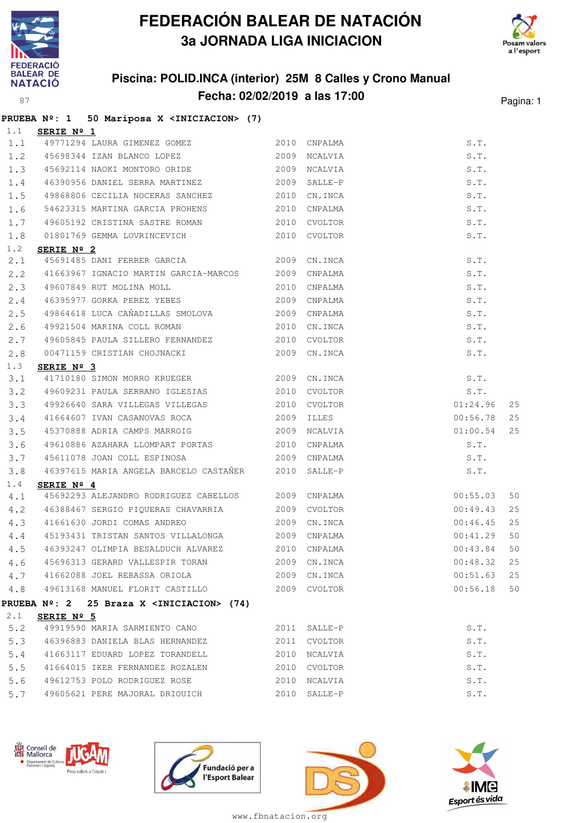

## **FEDERACIÓN BALEAR DE NATACIÓN 3a JORNADA LIGA INICIACION**



## **Piscina: POLID.INCA (interior) 25M 8 Calles y Crono Manual Fecha: 02/02/2019 a las 17:00** Pagina: 1

|     |                   | PRUEBA Nº: 1 50 Mariposa X <iniciacion> (7)</iniciacion>                  |  |              |               |    |
|-----|-------------------|---------------------------------------------------------------------------|--|--------------|---------------|----|
| 1.1 | <b>SERIE Nº 1</b> |                                                                           |  |              |               |    |
|     |                   | 1.1 49771294 LAURA GIMENEZ GOMEZ 2010                                     |  | CNPALMA      | S.T.          |    |
|     |                   | 1.2 45698344 IZAN BLANCO LOPEZ 2009                                       |  | NCALVIA      | S.T.          |    |
|     |                   | 1.3 45692114 NAOKI MONTORO ORIDE 2009 NCALVIA                             |  |              | S.T.          |    |
| 1.4 |                   | 46390956 DANIEL SERRA MARTINEZ 2009                                       |  | SALLE-P      | S.T.          |    |
| 1.5 |                   | 49868806 CECILIA NOCERAS SANCHEZ 2010                                     |  | CN.INCA      | S.T.          |    |
| 1.6 |                   | 54623315 MARTINA GARCIA PROHENS 2010                                      |  | CNPALMA      | S.T.          |    |
| 1.7 |                   | 49605192 CRISTINA SASTRE ROMAN                                            |  | 2010 CVOLTOR | S.T.          |    |
| 1.8 |                   | 01801769 GEMMA LOVRINCEVICH 2010 CVOLTOR                                  |  |              | S.T.          |    |
| 1.2 | SERIE Nº 2        |                                                                           |  |              |               |    |
| 2.1 |                   | 45691485 DANI FERRER GARCIA 2009                                          |  | CN.INCA      | S.T.          |    |
| 2.2 |                   | 41663967 IGNACIO MARTIN GARCIA-MARCOS 2009                                |  | CNPALMA      | S.T.          |    |
| 2.3 |                   |                                                                           |  | 2010 CNPALMA | S.T.          |    |
| 2.4 |                   |                                                                           |  |              | S.T.          |    |
| 2.5 |                   | 49864618 LUCA CAÑADILLAS SMOLOVA 2009                                     |  | CNPALMA      | S.T.          |    |
| 2.6 |                   | 49921504 MARINA COLL ROMAN 2010                                           |  | CN.INCA      | S.T.          |    |
| 2.7 |                   | 49605845 PAULA SILLERO FERNANDEZ 2010 CVOLTOR                             |  |              | S.T.          |    |
| 2.8 |                   | 00471159 CRISTIAN CHOJNACKI 2009 CN.INCA                                  |  |              | S.T.          |    |
| 1.3 | SERIE Nº 3        |                                                                           |  |              |               |    |
| 3.1 |                   | 41710180 SIMON MORRO KRUEGER 2009 CN.INCA                                 |  |              | S.T.          |    |
| 3.2 |                   | 49609231 PAULA SERRANO IGLESIAS 2010 CVOLTOR                              |  |              | S.T.          |    |
| 3.3 |                   | 49926640 SARA VILLEGAS VILLEGAS 2010 CVOLTOR                              |  |              | 01:24.96      | 25 |
| 3.4 |                   | 41664607 IVAN CASANOVAS ROCA 2009                                         |  | ILLES        | 00:56.78      | 25 |
| 3.5 |                   | 45370888 ADRIA CAMPS MARROIG 2009                                         |  | NCALVIA      | 01:00.54      | 25 |
| 3.6 |                   | 49610886 AZAHARA LLOMPART PORTAS 2010<br>45611078 JOAN COLL ESPINOSA 2009 |  | CNPALMA      | S.T.          |    |
| 3.7 |                   |                                                                           |  | CNPALMA      | S.T.          |    |
| 3.8 |                   | 46397615 MARIA ANGELA BARCELO CASTAÑER 2010                               |  | SALLE-P      | S.T.          |    |
| 1.4 | SERIE Nº 4        |                                                                           |  |              |               |    |
| 4.1 |                   | 45692293 ALEJANDRO RODRIGUEZ CABELLOS 2009 CNPALMA                        |  |              | 00:55.03      | 50 |
| 4.2 |                   | 46388467 SERGIO PIQUERAS CHAVARRIA 2009 CVOLTOR                           |  |              | 00:49.43      | 25 |
| 4.3 |                   | 41661630 JORDI COMAS ANDREO 2009 CN.INCA                                  |  |              | $00:46.45$ 25 |    |
| 4.4 |                   | 45193431 TRISTAN SANTOS VILLALONGA 2009 CNPALMA                           |  |              | 00:41.29      | 50 |
|     |                   | 4.5 46393247 OLIMPIA BESALDUCH ALVAREZ 2010 CNPALMA                       |  |              | 00:43.84      | 50 |
| 4.6 |                   | 45696313 GERARD VALLESPIR TORAN                                           |  | 2009 CN.INCA | 00:48.32      | 25 |
|     |                   | 4.7 41662088 JOEL REBASSA ORIOLA 2009 CN.INCA                             |  |              | 00:51.63      | 25 |
| 4.8 |                   | 49613168 MANUEL FLORIT CASTILLO 2009 CVOLTOR                              |  |              | 00:56.18      | 50 |
|     |                   | PRUEBA Nº: 2 25 Braza X <iniciacion> (74)</iniciacion>                    |  |              |               |    |
| 2.1 | SERIE Nº 5        |                                                                           |  |              |               |    |
| 5.2 |                   | 49919590 MARIA SARMIENTO CANO                                             |  | 2011 SALLE-P | S.T.          |    |
| 5.3 |                   | 46396883 DANIELA BLAS HERNANDEZ                                           |  | 2011 CVOLTOR | S.T.          |    |
| 5.4 |                   | 41663117 EDUARD LOPEZ TORANDELL 2010 NCALVIA                              |  |              | S.T.          |    |
| 5.5 |                   | 41664015 IKER FERNANDEZ ROZALEN                                           |  | 2010 CVOLTOR | S.T.          |    |
| 5.6 |                   | 49612753 POLO RODRIGUEZ ROSE                                              |  | 2010 NCALVIA | S.T.          |    |
| 5.7 |                   | 49605621 PERE MAJORAL DRIOUICH                                            |  | 2010 SALLE-P | S.T.          |    |









www.fbnatacion.org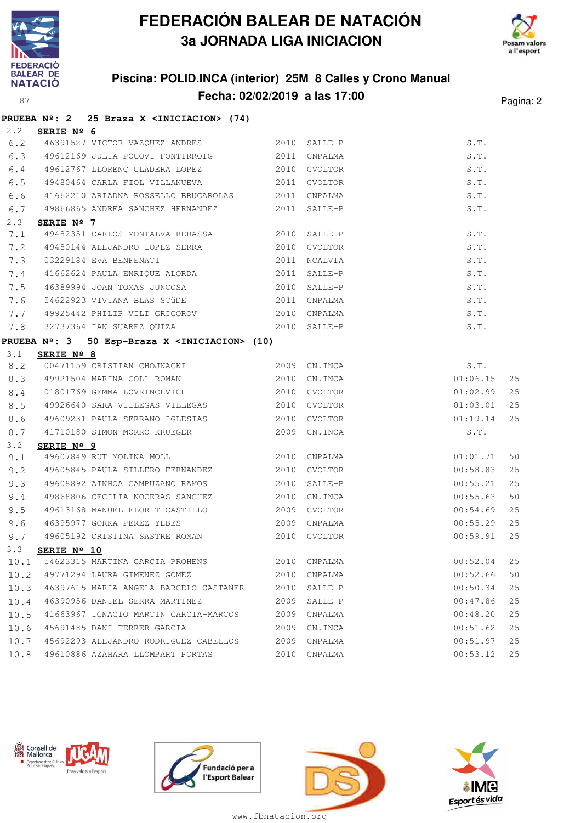

# **FEDERACIÓN BALEAR DE NATACIÓN 3a JORNADA LIGA INICIACION**



## **Piscina: POLID.INCA (interior) 25M 8 Calles y Crono Manual Fecha: 02/02/2019 a las 17:00** Pagina: 2

|      |                        | PRUEBA Nº: 2 25 Braza X <iniciacion> (74)</iniciacion>     |      |              |                                      |    |
|------|------------------------|------------------------------------------------------------|------|--------------|--------------------------------------|----|
| 2, 2 | SERIE Nº 6             |                                                            |      |              |                                      |    |
| 6.2  |                        | 46391527 VICTOR VAZQUEZ ANDRES 2010 SALLE-P                |      |              | $\texttt{S} \centerdot \texttt{T}$ . |    |
| 6.3  |                        | 49612169 JULIA POCOVI FONTIRROIG 2011 CNPALMA              |      |              | S.T.                                 |    |
| 6.4  |                        | 49612767 LLORENÇ CLADERA LOPEZ 2010 CVOLTOR                |      |              | S.T.                                 |    |
| 6.5  |                        | 49480464 CARLA FIOL VILLANUEVA 2011 CVOLTOR                |      |              | S.T.                                 |    |
| 6.6  |                        | 41662210 ARIADNA ROSSELLO BRUGAROLAS 2011                  |      | CNPALMA      | S.T.                                 |    |
| 6.7  |                        | 49866865 ANDREA SANCHEZ HERNANDEZ 2011 SALLE-P             |      |              | S.T.                                 |    |
| 2.3  | SERIE Nº 7             |                                                            |      |              |                                      |    |
| 7.1  |                        | 49482351 CARLOS MONTALVA REBASSA 2010 SALLE-P              |      |              | S.T.                                 |    |
| 7.2  |                        | 49480144 ALEJANDRO LOPEZ SERRA 2010                        |      | CVOLTOR      | S.T.                                 |    |
| 7.3  |                        | 03229184 EVA BENFENATI                                     | 2011 | NCALVIA      | S.T.                                 |    |
|      |                        | 7.4 41662624 PAULA ENRIQUE ALORDA                          |      | 2011 SALLE-P | S.T.                                 |    |
| 7.5  |                        | 46389994 JOAN TOMAS JUNCOSA 2010 SALLE-P                   |      |              | S.T.                                 |    |
| 7.6  |                        | 54622923 VIVIANA BLAS STÜDE 2011                           |      | CNPALMA      | S.T.                                 |    |
| 7.7  |                        | 49925442 PHILIP VILI GRIGOROV 2010                         |      | CNPALMA      | S.T.                                 |    |
| 7.8  |                        | 32737364 IAN SUAREZ QUIZA 2010 SALLE-P                     |      |              | S.T.                                 |    |
|      |                        | PRUEBA Nº: 3 50 Esp-Braza X <iniciacion> (10)</iniciacion> |      |              |                                      |    |
| 3.1  | SERIE Nº 8             |                                                            |      |              |                                      |    |
| 8.2  |                        | 00471159 CRISTIAN CHOJNACKI 2009 CN.INCA                   |      |              | S.T.                                 |    |
| 8.3  |                        | 49921504 MARINA COLL ROMAN 2010                            |      | CN.INCA      | 01:06.15                             | 25 |
| 8.4  |                        | 01801769 GEMMA LOVRINCEVICH 2010 CVOLTOR                   |      |              | 01:02.99                             | 25 |
| 8.5  |                        | 49926640 SARA VILLEGAS VILLEGAS 2010                       |      | CVOLTOR      | 01:03.01                             | 25 |
| 8.6  |                        | 49609231 PAULA SERRANO IGLESIAS 2010                       |      | CVOLTOR      | 01:19.14                             | 25 |
| 8.7  |                        | 41710180 SIMON MORRO KRUEGER 2009 CN.INCA                  |      |              | S.T.                                 |    |
| 3.2  | SERIE Nº 9             |                                                            |      |              |                                      |    |
| 9.1  |                        | <u>---- -- - -</u><br>49607849 RUT MOLINA MOLL 2010        |      | CNPALMA      | 01:01.71                             | 50 |
| 9.2  |                        | 49605845 PAULA SILLERO FERNANDEZ 2010                      |      | CVOLTOR      | 00:58.83                             | 25 |
| 9.3  |                        | 49608892 AINHOA CAMPUZANO RAMOS 2010                       |      | SALLE-P      | 00:55.21                             | 25 |
| 9.4  |                        | 49868806 CECILIA NOCERAS SANCHEZ                           | 2010 | CN.INCA      | 00:55.63                             | 50 |
| 9.5  |                        | 49613168 MANUEL FLORIT CASTILLO 2009                       |      | CVOLTOR      | 00:54.69                             | 25 |
| 9.6  |                        | 46395977 GORKA PEREZ YEBES 2009                            |      | CNPALMA      | 00:55.29                             | 25 |
| 9.7  |                        | 49605192 CRISTINA SASTRE ROMAN                             | 2010 | CVOLTOR      | 00:59.91                             | 25 |
|      | 3.3 <b>SERIE Nº 10</b> |                                                            |      |              |                                      |    |
| 10.1 |                        | 54623315 MARTINA GARCIA PROHENS 2010 CNPALMA               |      |              | 00:52.04                             | 25 |
| 10.2 |                        | 49771294 LAURA GIMENEZ GOMEZ                               | 2010 | CNPALMA      | 00:52.66                             | 50 |
| 10.3 |                        | 46397615 MARIA ANGELA BARCELO CASTAÑER                     | 2010 | SALLE-P      | 00:50.34                             | 25 |
| 10.4 |                        | 46390956 DANIEL SERRA MARTINEZ                             | 2009 | SALLE-P      | 00:47.86                             | 25 |
| 10.5 |                        | 41663967 IGNACIO MARTIN GARCIA-MARCOS                      | 2009 | CNPALMA      | 00:48.20                             | 25 |
| 10.6 |                        | 45691485 DANI FERRER GARCIA                                | 2009 | CN.INCA      | 00:51.62                             | 25 |
| 10.7 |                        | 45692293 ALEJANDRO RODRIGUEZ CABELLOS                      | 2009 | CNPALMA      | 00:51.97                             | 25 |
|      |                        | 10.8 49610886 AZAHARA LLOMPART PORTAS                      | 2010 | CNPALMA      | 00:53.12                             | 25 |









www.fbnatacion.org